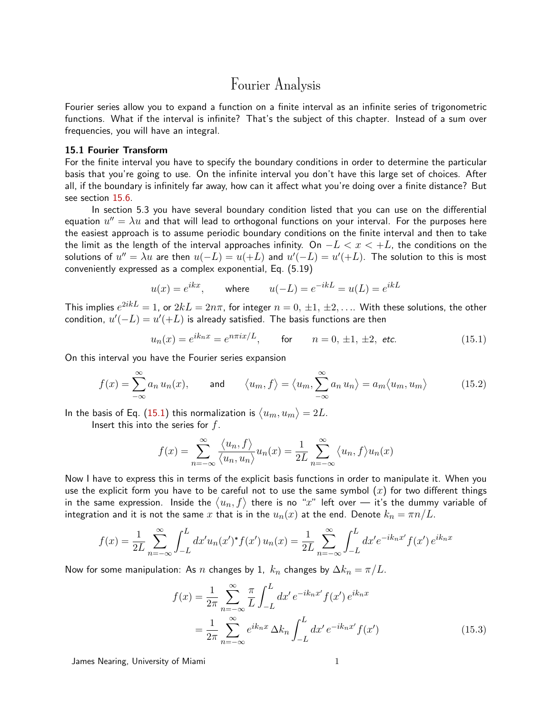# Fourier Analysis

Fourier series allow you to expand a function on a finite interval as an infinite series of trigonometric functions. What if the interval is infinite? That's the subject of this chapter. Instead of a sum over frequencies, you will have an integral.

# 15.1 Fourier Transform

<span id="page-0-2"></span>For the finite interval you have to specify the boundary conditions in order to determine the particular basis that you're going to use. On the infinite interval you don't have this large set of choices. After all, if the boundary is infinitely far away, how can it affect what you're doing over a finite distance? But see section [15.6](#page-8-0).

In section 5.3 you have several boundary condition listed that you can use on the differential equation  $u''=\lambda u$  and that will lead to orthogonal functions on your interval. For the purposes here the easiest approach is to assume periodic boundary conditions on the finite interval and then to take the limit as the length of the interval approaches infinity. On  $-L < x < +L$ , the conditions on the solutions of  $u''=\lambda u$  are then  $u(-L)=u(+L)$  and  $u'(-L)=u'(+L).$  The solution to this is most conveniently expressed as a complex exponential, Eq. (5.19)

$$
u(x) = e^{ikx}, \qquad \text{where} \qquad u(-L) = e^{-ikL} = u(L) = e^{ikL}
$$

This implies  $e^{2ikL} = 1$ , or  $2kL = 2n\pi$ , for integer  $n=0,\,\pm 1,\,\pm 2,\ldots$  . With these solutions, the other condition,  $u'(-L) = u'(+L)$  is already satisfied. The basis functions are then

<span id="page-0-0"></span>
$$
u_n(x) = e^{ik_n x} = e^{n\pi i x/L}
$$
, for  $n = 0, \pm 1, \pm 2$ , etc. (15.1)

On this interval you have the Fourier series expansion

$$
f(x) = \sum_{-\infty}^{\infty} a_n u_n(x), \quad \text{and} \quad \langle u_m, f \rangle = \langle u_m, \sum_{-\infty}^{\infty} a_n u_n \rangle = a_m \langle u_m, u_m \rangle \tag{15.2}
$$

In the basis of Eq. ([15.1](#page-0-0)) this normalization is  $\langle u_m, u_m \rangle = 2L.$ Insert this into the series for  $f$ .

$$
\infty
$$
 1

<span id="page-0-3"></span>
$$
f(x) = \sum_{n = -\infty}^{\infty} \frac{\langle u_n, f \rangle}{\langle u_n, u_n \rangle} u_n(x) = \frac{1}{2L} \sum_{n = -\infty}^{\infty} \langle u_n, f \rangle u_n(x)
$$

Now I have to express this in terms of the explicit basis functions in order to manipulate it. When you use the explicit form you have to be careful not to use the same symbol  $(x)$  for two different things in the same expression. Inside the  $\langle u_n, f\rangle$  there is no " $x$ " left over — it's the dummy variable of integration and it is not the same x that is in the  $u_n(x)$  at the end. Denote  $k_n = \pi n/L$ .

$$
f(x) = \frac{1}{2L} \sum_{n = -\infty}^{\infty} \int_{-L}^{L} dx' u_n(x')^* f(x') u_n(x) = \frac{1}{2L} \sum_{n = -\infty}^{\infty} \int_{-L}^{L} dx' e^{-ik_n x'} f(x') e^{ik_n x}
$$

Now for some manipulation: As n changes by 1,  $k_n$  changes by  $\Delta k_n = \pi/L$ .

<span id="page-0-1"></span>
$$
f(x) = \frac{1}{2\pi} \sum_{n = -\infty}^{\infty} \frac{\pi}{L} \int_{-L}^{L} dx' e^{-ik_n x'} f(x') e^{ik_n x}
$$
  
= 
$$
\frac{1}{2\pi} \sum_{n = -\infty}^{\infty} e^{ik_n x} \Delta k_n \int_{-L}^{L} dx' e^{-ik_n x'} f(x')
$$
(15.3)

James Nearing, University of Miami 1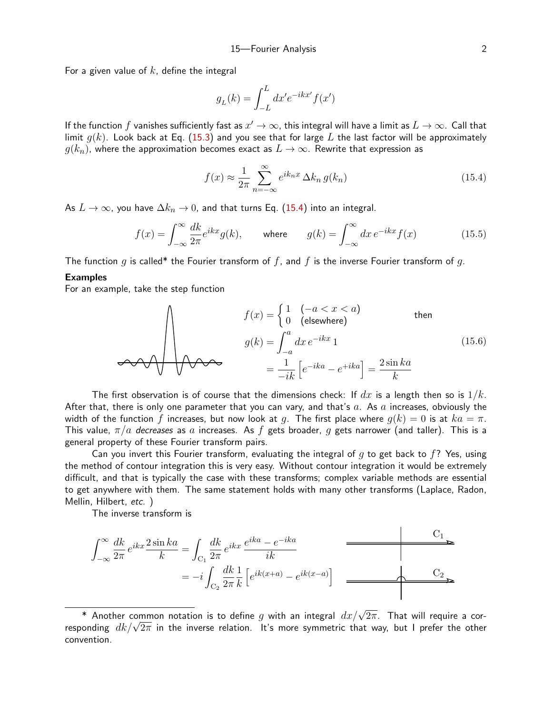For a given value of  $k$ , define the integral

$$
g_L(k) = \int_{-L}^{L} dx' e^{-ikx'} f(x')
$$

If the function  $f$  vanishes sufficiently fast as  $x'\to\infty$ , this integral will have a limit as  $L\to\infty.$  Call that limit  $q(k)$ . Look back at Eq. [\(15.3](#page-0-1)) and you see that for large L the last factor will be approximately  $g(k_n)$ , where the approximation becomes exact as  $L \to \infty$ . Rewrite that expression as

<span id="page-1-2"></span><span id="page-1-0"></span>
$$
f(x) \approx \frac{1}{2\pi} \sum_{n=-\infty}^{\infty} e^{ik_n x} \Delta k_n g(k_n)
$$
 (15.4)

<span id="page-1-1"></span> $\mathbf{L}$ 

As  $L \to \infty$ , you have  $\Delta k_n \to 0$ , and that turns Eq. [\(15.4](#page-1-0)) into an integral.

$$
f(x) = \int_{-\infty}^{\infty} \frac{dk}{2\pi} e^{ikx} g(k), \quad \text{where} \quad g(k) = \int_{-\infty}^{\infty} dx \, e^{-ikx} f(x) \tag{15.5}
$$

The function g is called\* the Fourier transform of f, and f is the inverse Fourier transform of g.

## Examples

For an example, take the step function

$$
f(x) = \begin{cases} 1 & (-a < x < a) \\ 0 & (\text{elsewhere}) \end{cases} \qquad \text{then}
$$

$$
g(k) = \int_{-a}^{a} dx \, e^{-ikx} \, 1
$$

$$
= \frac{1}{-ik} \left[ e^{-ika} - e^{+ika} \right] = \frac{2 \sin ka}{k}
$$
(15.6)

The first observation is of course that the dimensions check: If  $dx$  is a length then so is  $1/k$ . After that, there is only one parameter that you can vary, and that's  $a$ . As  $a$  increases, obviously the width of the function f increases, but now look at g. The first place where  $g(k) = 0$  is at  $ka = \pi$ . This value,  $\pi/a$  decreases as a increases. As f gets broader, q gets narrower (and taller). This is a general property of these Fourier transform pairs.

Can you invert this Fourier transform, evaluating the integral of q to get back to  $f$ ? Yes, using the method of contour integration this is very easy. Without contour integration it would be extremely difficult, and that is typically the case with these transforms; complex variable methods are essential to get anywhere with them. The same statement holds with many other transforms (Laplace, Radon, Mellin, Hilbert, etc. )

The inverse transform is

$$
\int_{-\infty}^{\infty} \frac{dk}{2\pi} e^{ikx} \frac{2\sin ka}{k} = \int_{C_1} \frac{dk}{2\pi} e^{ikx} \frac{e^{ika} - e^{-ika}}{ik}
$$
\n
$$
= -i \int_{C_2} \frac{dk}{2\pi} \frac{1}{k} \left[ e^{ik(x+a)} - e^{ik(x-a)} \right]
$$
\n
$$
\xrightarrow{\qquad \qquad C_2}
$$

 $^*$  Another common notation is to define  $g$  with an integral  $dx/\sqrt{2\pi}$ . That will require a cor $r$  Another common notation is to define g with an integral  $ax/\sqrt{2\pi}$ . That will require a corresponding  $dk/\sqrt{2\pi}$  in the inverse relation. It's more symmetric that way, but I prefer the other convention.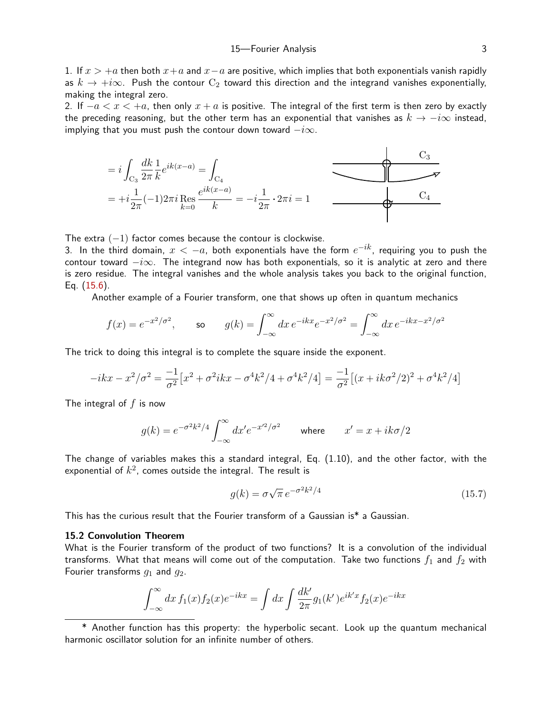1. If  $x > +a$  then both  $x+a$  and  $x-a$  are positive, which implies that both exponentials vanish rapidly as  $k \to +i\infty$ . Push the contour  $C_2$  toward this direction and the integrand vanishes exponentially, making the integral zero.

2. If  $-a < x < +a$ , then only  $x + a$  is positive. The integral of the first term is then zero by exactly the preceding reasoning, but the other term has an exponential that vanishes as  $k \to -i\infty$  instead, implying that you must push the contour down toward  $-i\infty$ .



The extra  $(-1)$  factor comes because the contour is clockwise.

3. In the third domain,  $x < -a$ , both exponentials have the form  $e^{-ik}$ , requiring you to push the contour toward  $-i\infty$ . The integrand now has both exponentials, so it is analytic at zero and there is zero residue. The integral vanishes and the whole analysis takes you back to the original function, Eq. [\(15.6](#page-1-1)).

Another example of a Fourier transform, one that shows up often in quantum mechanics

$$
f(x) = e^{-x^2/\sigma^2}
$$
, so  $g(k) = \int_{-\infty}^{\infty} dx \, e^{-ikx} e^{-x^2/\sigma^2} = \int_{-\infty}^{\infty} dx \, e^{-ikx - x^2/\sigma^2}$ 

The trick to doing this integral is to complete the square inside the exponent.

$$
-ikx - x^2/\sigma^2 = \frac{-1}{\sigma^2} \left[ x^2 + \sigma^2 ikx - \sigma^4 k^2/4 + \sigma^4 k^2/4 \right] = \frac{-1}{\sigma^2} \left[ (x + ik\sigma^2/2)^2 + \sigma^4 k^2/4 \right]
$$

The integral of  $f$  is now

$$
g(k) = e^{-\sigma^2 k^2/4} \int_{-\infty}^{\infty} dx' e^{-x'^2/\sigma^2}
$$
 where  $x' = x + ik\sigma/2$ 

The change of variables makes this a standard integral, Eq. (1.10), and the other factor, with the exponential of  $k^2$ , comes outside the integral. The result is

<span id="page-2-0"></span>
$$
g(k) = \sigma \sqrt{\pi} e^{-\sigma^2 k^2/4}
$$
\n(15.7)

This has the curious result that the Fourier transform of a Gaussian is\* a Gaussian.

## 15.2 Convolution Theorem

What is the Fourier transform of the product of two functions? It is a convolution of the individual transforms. What that means will come out of the computation. Take two functions  $f_1$  and  $f_2$  with Fourier transforms  $g_1$  and  $g_2$ .

$$
\int_{-\infty}^{\infty} dx f_1(x) f_2(x) e^{-ikx} = \int dx \int \frac{dk'}{2\pi} g_1(k') e^{ik'x} f_2(x) e^{-ikx}
$$

\* Another function has this property: the hyperbolic secant. Look up the quantum mechanical harmonic oscillator solution for an infinite number of others.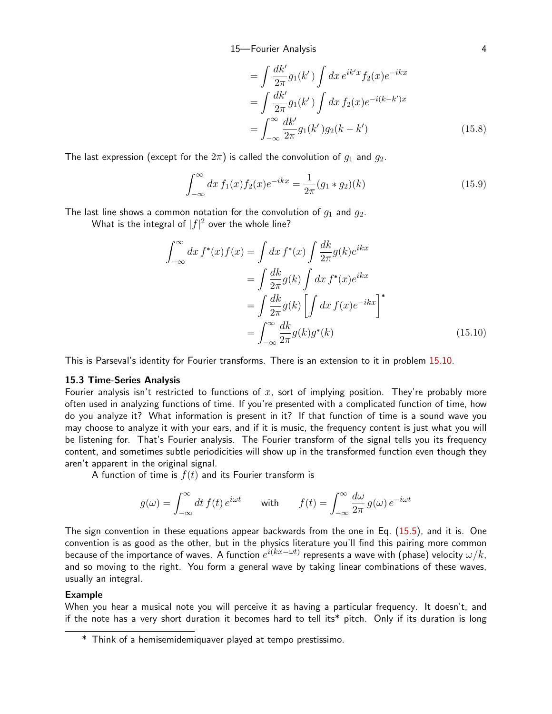<span id="page-3-0"></span>
$$
= \int \frac{dk'}{2\pi} g_1(k') \int dx \, e^{ik'x} f_2(x) e^{-ikx}
$$

$$
= \int \frac{dk'}{2\pi} g_1(k') \int dx \, f_2(x) e^{-i(k-k')x}
$$

$$
= \int_{-\infty}^{\infty} \frac{dk'}{2\pi} g_1(k') g_2(k-k')
$$
(15.8)

The last expression (except for the  $2\pi$ ) is called the convolution of  $g_1$  and  $g_2$ .

$$
\int_{-\infty}^{\infty} dx f_1(x) f_2(x) e^{-ikx} = \frac{1}{2\pi} (g_1 * g_2)(k)
$$
\n(15.9)

The last line shows a common notation for the convolution of  $g_1$  and  $g_2$ .

What is the integral of  $|f|^2$  over the whole line?

<span id="page-3-1"></span>
$$
\int_{-\infty}^{\infty} dx f^*(x) f(x) = \int dx f^*(x) \int \frac{dk}{2\pi} g(k) e^{ikx}
$$

$$
= \int \frac{dk}{2\pi} g(k) \int dx f^*(x) e^{ikx}
$$

$$
= \int \frac{dk}{2\pi} g(k) \left[ \int dx f(x) e^{-ikx} \right]^*
$$

$$
= \int_{-\infty}^{\infty} \frac{dk}{2\pi} g(k) g^*(k)
$$
(15.10)

This is Parseval's identity for Fourier transforms. There is an extension to it in problem [15.1](#page-10-0)0.

#### 15.3 Time-Series Analysis

Fourier analysis isn't restricted to functions of x, sort of implying position. They're probably more often used in analyzing functions of time. If you're presented with a complicated function of time, how do you analyze it? What information is present in it? If that function of time is a sound wave you may choose to analyze it with your ears, and if it is music, the frequency content is just what you will be listening for. That's Fourier analysis. The Fourier transform of the signal tells you its frequency content, and sometimes subtle periodicities will show up in the transformed function even though they aren't apparent in the original signal.

A function of time is  $f(t)$  and its Fourier transform is

$$
g(\omega) = \int_{-\infty}^{\infty} dt f(t) e^{i\omega t} \quad \text{with} \quad f(t) = \int_{-\infty}^{\infty} \frac{d\omega}{2\pi} g(\omega) e^{-i\omega t}
$$

The sign convention in these equations appear backwards from the one in Eq. ([15.5](#page-1-2)), and it is. One convention is as good as the other, but in the physics literature you'll find this pairing more common because of the importance of waves. A function  $e^{i(kx-\omega t)}$  represents a wave with (phase) velocity  $\omega/k,$ and so moving to the right. You form a general wave by taking linear combinations of these waves, usually an integral.

# Example

When you hear a musical note you will perceive it as having a particular frequency. It doesn't, and if the note has a very short duration it becomes hard to tell its\* pitch. Only if its duration is long

<sup>\*</sup> Think of a hemisemidemiquaver played at tempo prestissimo.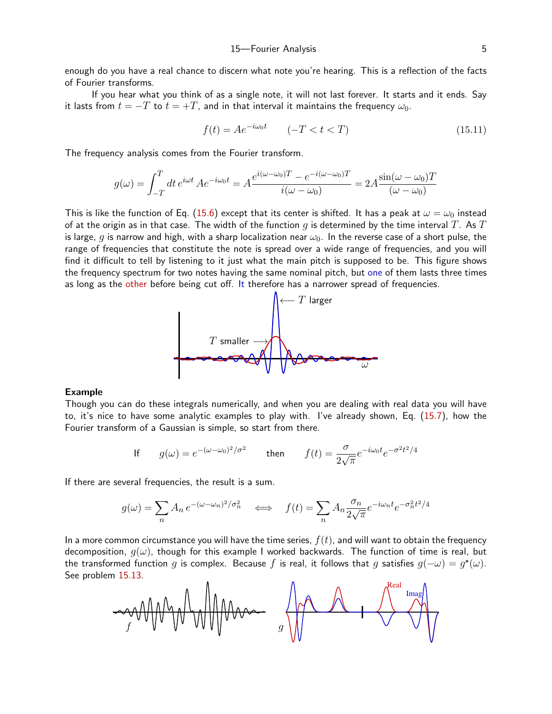enough do you have a real chance to discern what note you're hearing. This is a reflection of the facts of Fourier transforms.

If you hear what you think of as a single note, it will not last forever. It starts and it ends. Say it lasts from  $t = -T$  to  $t = +T$ , and in that interval it maintains the frequency  $\omega_0$ .

$$
f(t) = Ae^{-i\omega_0 t} \qquad (-T < t < T) \tag{15.11}
$$

The frequency analysis comes from the Fourier transform.

$$
g(\omega) = \int_{-T}^{T} dt \, e^{i\omega t} \, A e^{-i\omega_0 t} = A \frac{e^{i(\omega - \omega_0)T} - e^{-i(\omega - \omega_0)T}}{i(\omega - \omega_0)} = 2A \frac{\sin(\omega - \omega_0)T}{(\omega - \omega_0)}
$$

This is like the function of Eq. [\(15.6](#page-1-1)) except that its center is shifted. It has a peak at  $\omega = \omega_0$  instead of at the origin as in that case. The width of the function q is determined by the time interval T. As T is large, g is narrow and high, with a sharp localization near  $\omega_0$ . In the reverse case of a short pulse, the range of frequencies that constitute the note is spread over a wide range of frequencies, and you will find it difficult to tell by listening to it just what the main pitch is supposed to be. This figure shows the frequency spectrum for two notes having the same nominal pitch, but one of them lasts three times as long as the other before being cut off. It therefore has a narrower spread of frequencies.



#### Example

Though you can do these integrals numerically, and when you are dealing with real data you will have to, it's nice to have some analytic examples to play with. I've already shown, Eq. ([15.7](#page-2-0)), how the Fourier transform of a Gaussian is simple, so start from there.

If 
$$
g(\omega) = e^{-(\omega - \omega_0)^2/\sigma^2}
$$
 then  $f(t) = \frac{\sigma}{2\sqrt{\pi}}e^{-i\omega_0 t}e^{-\sigma^2 t^2/4}$ 

If there are several frequencies, the result is a sum.

$$
g(\omega) = \sum_{n} A_n e^{-(\omega - \omega_n)^2/\sigma_n^2} \quad \Longleftrightarrow \quad f(t) = \sum_{n} A_n \frac{\sigma_n}{2\sqrt{\pi}} e^{-i\omega_n t} e^{-\sigma_n^2 t^2/4}
$$

In a more common circumstance you will have the time series,  $f(t)$ , and will want to obtain the frequency decomposition,  $q(\omega)$ , though for this example I worked backwards. The function of time is real, but the transformed function g is complex. Because f is real, it follows that g satisfies  $q(-\omega) = q^*(\omega)$ . See problem [15.1](#page-10-1)3.

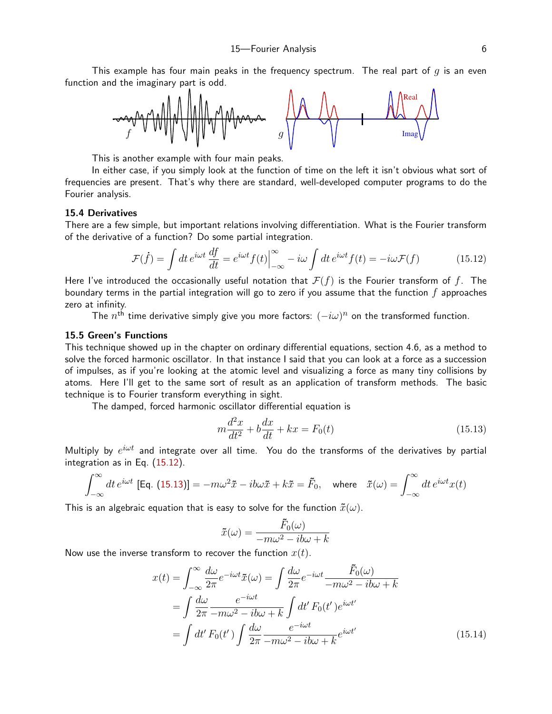This example has four main peaks in the frequency spectrum. The real part of  $q$  is an even function and the imaginary part is odd.



This is another example with four main peaks.

In either case, if you simply look at the function of time on the left it isn't obvious what sort of frequencies are present. That's why there are standard, well-developed computer programs to do the Fourier analysis.

#### 15.4 Derivatives

There are a few simple, but important relations involving differentiation. What is the Fourier transform of the derivative of a function? Do some partial integration.

$$
\mathcal{F}(\dot{f}) = \int dt \, e^{i\omega t} \frac{df}{dt} = e^{i\omega t} f(t) \Big|_{-\infty}^{\infty} - i\omega \int dt \, e^{i\omega t} f(t) = -i\omega \mathcal{F}(f) \tag{15.12}
$$

Here I've introduced the occasionally useful notation that  $\mathcal{F}(f)$  is the Fourier transform of f. The boundary terms in the partial integration will go to zero if you assume that the function  $f$  approaches zero at infinity.

The  $n^{\text{th}}$  time derivative simply give you more factors:  $(-i\omega)^n$  on the transformed function.

## 15.5 Green's Functions

This technique showed up in the chapter on ordinary differential equations, section 4.6, as a method to solve the forced harmonic oscillator. In that instance I said that you can look at a force as a succession of impulses, as if you're looking at the atomic level and visualizing a force as many tiny collisions by atoms. Here I'll get to the same sort of result as an application of transform methods. The basic technique is to Fourier transform everything in sight.

The damped, forced harmonic oscillator differential equation is

<span id="page-5-1"></span><span id="page-5-0"></span>
$$
m\frac{d^2x}{dt^2} + b\frac{dx}{dt} + kx = F_0(t)
$$
\n(15.13)

Multiply by  $e^{i\omega t}$  and integrate over all time. You do the transforms of the derivatives by partial integration as in Eq. [\(15.1](#page-5-0)2).

$$
\int_{-\infty}^{\infty} dt \, e^{i\omega t} \, \left[ \text{Eq. (15.13)} \right] = -m\omega^2 \tilde{x} - ib\omega \tilde{x} + k\tilde{x} = \tilde{F}_0, \quad \text{where} \quad \tilde{x}(\omega) = \int_{-\infty}^{\infty} dt \, e^{i\omega t} x(t)
$$

This is an algebraic equation that is easy to solve for the function  $\tilde{x}(\omega)$ .

<span id="page-5-2"></span>
$$
\tilde{x}(\omega) = \frac{\tilde{F}_0(\omega)}{-m\omega^2 - ib\omega + k}
$$

Now use the inverse transform to recover the function  $x(t)$ .

$$
x(t) = \int_{-\infty}^{\infty} \frac{d\omega}{2\pi} e^{-i\omega t} \tilde{x}(\omega) = \int \frac{d\omega}{2\pi} e^{-i\omega t} \frac{\tilde{F}_0(\omega)}{-m\omega^2 - ib\omega + k}
$$

$$
= \int \frac{d\omega}{2\pi} \frac{e^{-i\omega t}}{-m\omega^2 - ib\omega + k} \int dt' F_0(t') e^{i\omega t'}
$$

$$
= \int dt' F_0(t') \int \frac{d\omega}{2\pi} \frac{e^{-i\omega t}}{-m\omega^2 - ib\omega + k} e^{i\omega t'} \tag{15.14}
$$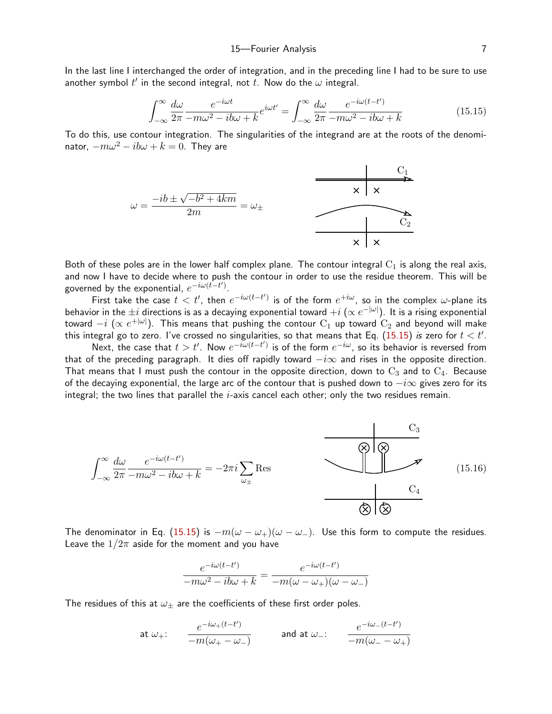In the last line I interchanged the order of integration, and in the preceding line I had to be sure to use another symbol  $t'$  in the second integral, not  $t.$  Now do the  $\omega$  integral.

<span id="page-6-0"></span>
$$
\int_{-\infty}^{\infty} \frac{d\omega}{2\pi} \frac{e^{-i\omega t}}{-m\omega^2 - ib\omega + k} e^{i\omega t'} = \int_{-\infty}^{\infty} \frac{d\omega}{2\pi} \frac{e^{-i\omega(t-t')}}{-m\omega^2 - ib\omega + k}
$$
(15.15)

To do this, use contour integration. The singularities of the integrand are at the roots of the denominator,  $-m\omega^2 - ib\omega + k = 0$ . They are



Both of these poles are in the lower half complex plane. The contour integral  $C_1$  is along the real axis, and now I have to decide where to push the contour in order to use the residue theorem. This will be governed by the exponential,  $e^{-i\omega(t-t')}$ .

First take the case  $t < t'$ , then  $e^{-i\omega(t-t')}$  is of the form  $e^{+i\omega}$ , so in the complex  $\omega$ -plane its behavior in the  $\pm i$  directions is as a decaying exponential toward  $+i$   $(\propto e^{-|\omega|})$ . It is a rising exponential toward  $-i$   $(\propto e^{+|\omega|})$ . This means that pushing the contour  $\rm C_{1}$  up toward  $\rm C_{2}$  and beyond will make this integral go to zero. I've crossed no singularities, so that means that Eq.  $(15.15)$  $(15.15)$  *is* zero for  $t < t'$ .

Next, the case that  $t > t'$ . Now  $e^{-i\omega(t-t')}$  is of the form  $e^{-i\omega}$ , so its behavior is reversed from that of the preceding paragraph. It dies off rapidly toward  $-i\infty$  and rises in the opposite direction. That means that I must push the contour in the opposite direction, down to  $C_3$  and to  $C_4$ . Because of the decaying exponential, the large arc of the contour that is pushed down to  $-i\infty$  gives zero for its integral; the two lines that parallel the  $i$ -axis cancel each other; only the two residues remain.



The denominator in Eq. ([15.1](#page-6-0)5) is  $-m(\omega - \omega_+)(\omega - \omega_-)$ . Use this form to compute the residues. Leave the  $1/2\pi$  aside for the moment and you have

<span id="page-6-1"></span>
$$
\frac{e^{-i\omega(t-t')}}{-m\omega^2 - i b\omega + k} = \frac{e^{-i\omega(t-t')}}{-m(\omega - \omega_+)(\omega - \omega_-)}
$$

The residues of this at  $\omega_{\pm}$  are the coefficients of these first order poles.

$$
\mathsf{at} \ \omega_+ \colon \qquad \frac{e^{-i\omega_+(t-t')}}{-m(\omega_+-\omega_-)} \qquad \qquad \mathsf{and} \ \mathsf{at} \ \omega_- \colon \qquad \frac{e^{-i\omega_-(t-t')}}{-m(\omega_--\omega_+)}
$$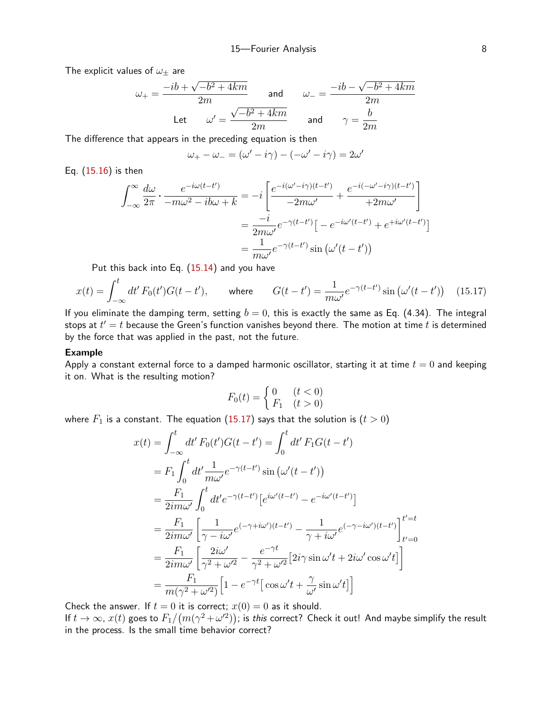The explicit values of  $\omega_+$  are

$$
\omega_{+} = \frac{-ib + \sqrt{-b^2 + 4km}}{2m} \quad \text{and} \quad \omega_{-} = \frac{-ib - \sqrt{-b^2 + 4km}}{2m}
$$
  
Let 
$$
\omega' = \frac{\sqrt{-b^2 + 4km}}{2m} \quad \text{and} \quad \gamma = \frac{b}{2m}
$$

The difference that appears in the preceding equation is then

$$
\omega_{+} - \omega_{-} = (\omega' - i\gamma) - (-\omega' - i\gamma) = 2\omega'
$$

Eq. [\(15.1](#page-6-1)6) is then

$$
\int_{-\infty}^{\infty} \frac{d\omega}{2\pi} \cdot \frac{e^{-i\omega(t-t')}}{-m\omega^2 - ib\omega + k} = -i \left[ \frac{e^{-i(\omega'-i\gamma)(t-t')}}{-2m\omega'} + \frac{e^{-i(-\omega'-i\gamma)(t-t')}}{+2m\omega'} \right]
$$

$$
= \frac{-i}{2m\omega'} e^{-\gamma(t-t')} \left[ -e^{-i\omega'(t-t')} + e^{+i\omega'(t-t')} \right]
$$

$$
= \frac{1}{m\omega'} e^{-\gamma(t-t')} \sin(\omega'(t-t'))
$$

Put this back into Eq. ([15.1](#page-5-2)4) and you have

$$
x(t) = \int_{-\infty}^{t} dt' F_0(t')G(t - t'), \quad \text{where} \quad G(t - t') = \frac{1}{m\omega'} e^{-\gamma(t - t')} \sin(\omega'(t - t')) \quad (15.17)
$$

If you eliminate the damping term, setting  $b = 0$ , this is exactly the same as Eq. (4.34). The integral stops at  $t^\prime = t$  because the Green's function vanishes beyond there. The motion at time  $t$  is determined by the force that was applied in the past, not the future.

#### Example

Apply a constant external force to a damped harmonic oscillator, starting it at time  $t = 0$  and keeping it on. What is the resulting motion?

<span id="page-7-0"></span>
$$
F_0(t) = \begin{cases} 0 & (t < 0) \\ F_1 & (t > 0) \end{cases}
$$

where  $F_1$  is a constant. The equation [\(15.1](#page-7-0)7) says that the solution is  $(t > 0)$ 

$$
x(t) = \int_{-\infty}^{t} dt' F_0(t')G(t - t') = \int_{0}^{t} dt' F_1G(t - t')
$$
  
\n
$$
= F_1 \int_{0}^{t} dt' \frac{1}{m\omega'} e^{-\gamma(t - t')} \sin (\omega'(t - t'))
$$
  
\n
$$
= \frac{F_1}{2im\omega'} \int_{0}^{t} dt' e^{-\gamma(t - t')} [e^{i\omega'(t - t')} - e^{-i\omega'(t - t')}]
$$
  
\n
$$
= \frac{F_1}{2im\omega'} \left[ \frac{1}{\gamma - i\omega'} e^{(-\gamma + i\omega')(t - t')} - \frac{1}{\gamma + i\omega'} e^{(-\gamma - i\omega')(t - t')} \right]_{t'=0}^{t'=t}
$$
  
\n
$$
= \frac{F_1}{2im\omega'} \left[ \frac{2i\omega'}{\gamma^2 + \omega'^2} - \frac{e^{-\gamma t}}{\gamma^2 + \omega'^2} [2i\gamma \sin \omega' t + 2i\omega' \cos \omega' t] \right]
$$
  
\n
$$
= \frac{F_1}{m(\gamma^2 + \omega'^2)} [1 - e^{-\gamma t} [\cos \omega' t + \frac{\gamma}{\omega'} \sin \omega' t]]
$$

Check the answer. If  $t = 0$  it is correct;  $x(0) = 0$  as it should.

If  $t\to\infty$ ,  $x(t)$  goes to  $F_1/\big(m(\gamma^2+\omega'^2)\big);$  is *this* correct? Check it out! And maybe simplify the result in the process. Is the small time behavior correct?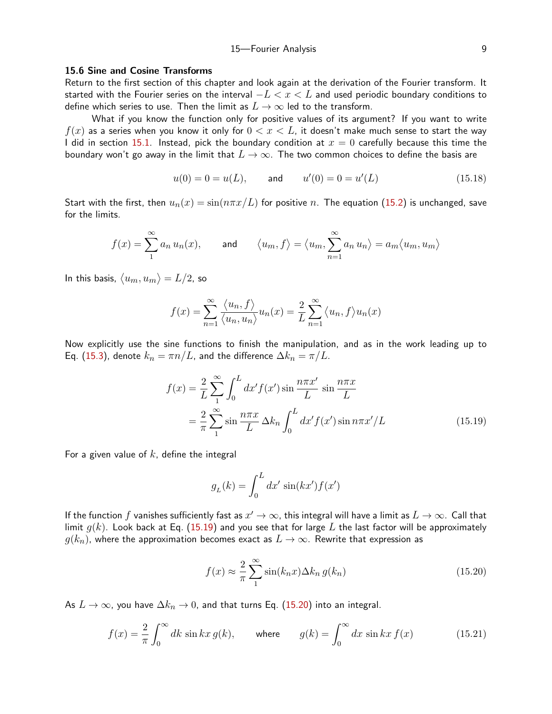#### 15—Fourier Analysis 9

#### 15.6 Sine and Cosine Transforms

<span id="page-8-0"></span>Return to the first section of this chapter and look again at the derivation of the Fourier transform. It started with the Fourier series on the interval  $-L < x < L$  and used periodic boundary conditions to define which series to use. Then the limit as  $L \to \infty$  led to the transform.

What if you know the function only for positive values of its argument? If you want to write  $f(x)$  as a series when you know it only for  $0 < x < L$ , it doesn't make much sense to start the way I did in section [15.1](#page-0-2). Instead, pick the boundary condition at  $x = 0$  carefully because this time the boundary won't go away in the limit that  $L \to \infty$ . The two common choices to define the basis are

$$
u(0) = 0 = u(L)
$$
, and  $u'(0) = 0 = u'(L)$  (15.18)

Start with the first, then  $u_n(x) = \sin(n\pi x/L)$  for positive n. The equation ([15.2](#page-0-3)) is unchanged, save for the limits.

$$
f(x) = \sum_{1}^{\infty} a_n u_n(x)
$$
, and  $\langle u_m, f \rangle = \langle u_m, \sum_{n=1}^{\infty} a_n u_n \rangle = a_m \langle u_m, u_m \rangle$ 

In this basis,  $\langle u_m, u_m \rangle = L/2$ , so

$$
f(x) = \sum_{n=1}^{\infty} \frac{\langle u_n, f \rangle}{\langle u_n, u_n \rangle} u_n(x) = \frac{2}{L} \sum_{n=1}^{\infty} \langle u_n, f \rangle u_n(x)
$$

Now explicitly use the sine functions to finish the manipulation, and as in the work leading up to Eq. [\(15.3](#page-0-1)), denote  $k_n = \pi n/L$ , and the difference  $\Delta k_n = \pi/L$ .

$$
f(x) = \frac{2}{L} \sum_{1}^{\infty} \int_0^L dx' f(x') \sin \frac{n\pi x'}{L} \sin \frac{n\pi x}{L}
$$

$$
= \frac{2}{\pi} \sum_{1}^{\infty} \sin \frac{n\pi x}{L} \Delta k_n \int_0^L dx' f(x') \sin n\pi x'/L
$$
(15.19)

For a given value of  $k$ , define the integral

<span id="page-8-1"></span>
$$
g_L(k) = \int_0^L dx' \sin(kx') f(x')
$$

If the function  $f$  vanishes sufficiently fast as  $x'\to\infty$ , this integral will have a limit as  $L\to\infty.$  Call that limit  $q(k)$ . Look back at Eq. [\(15.1](#page-8-1)9) and you see that for large L the last factor will be approximately  $g(k_n)$ , where the approximation becomes exact as  $L \to \infty$ . Rewrite that expression as

<span id="page-8-3"></span><span id="page-8-2"></span>
$$
f(x) \approx \frac{2}{\pi} \sum_{1}^{\infty} \sin(k_n x) \Delta k_n g(k_n)
$$
 (15.20)

As  $L \to \infty$ , you have  $\Delta k_n \to 0$ , and that turns Eq. [\(15.2](#page-8-2)0) into an integral.

$$
f(x) = \frac{2}{\pi} \int_0^\infty dk \sin kx \, g(k), \qquad \text{where} \qquad g(k) = \int_0^\infty dx \, \sin kx \, f(x) \tag{15.21}
$$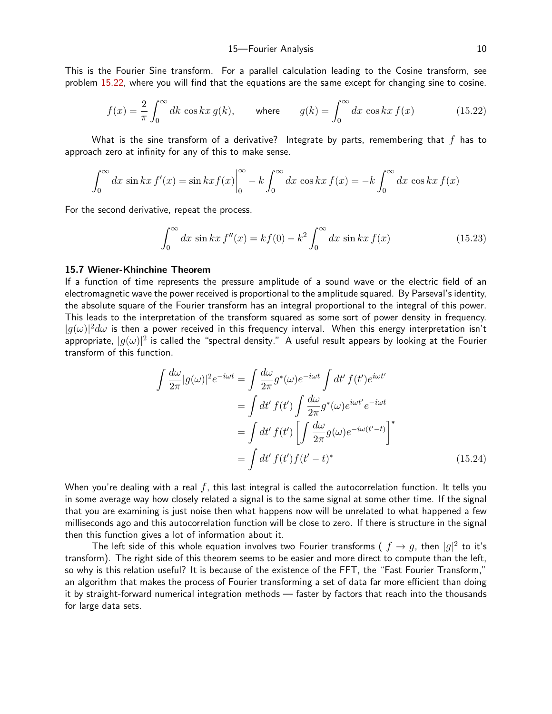This is the Fourier Sine transform. For a parallel calculation leading to the Cosine transform, see problem [15.2](#page-11-0)2, where you will find that the equations are the same except for changing sine to cosine.

$$
f(x) = \frac{2}{\pi} \int_0^\infty dk \cos kx \, g(k), \qquad \text{where} \qquad g(k) = \int_0^\infty dx \, \cos kx \, f(x) \tag{15.22}
$$

What is the sine transform of a derivative? Integrate by parts, remembering that  $f$  has to approach zero at infinity for any of this to make sense.

$$
\int_0^\infty dx \sin kx f'(x) = \sin kx f(x) \Big|_0^\infty - k \int_0^\infty dx \cos kx f(x) = -k \int_0^\infty dx \cos kx f(x)
$$

For the second derivative, repeat the process.

$$
\int_0^\infty dx \, \sin kx \, f''(x) = k f(0) - k^2 \int_0^\infty dx \, \sin kx \, f(x) \tag{15.23}
$$

#### 15.7 Wiener-Khinchine Theorem

If a function of time represents the pressure amplitude of a sound wave or the electric field of an electromagnetic wave the power received is proportional to the amplitude squared. By Parseval's identity, the absolute square of the Fourier transform has an integral proportional to the integral of this power. This leads to the interpretation of the transform squared as some sort of power density in frequency.  $|g(\omega)|^2 d\omega$  is then a power received in this frequency interval. When this energy interpretation isn't appropriate,  $|g(\omega)|^2$  is called the "spectral density." A useful result appears by looking at the Fourier transform of this function.

$$
\int \frac{d\omega}{2\pi} |g(\omega)|^2 e^{-i\omega t} = \int \frac{d\omega}{2\pi} g^*(\omega) e^{-i\omega t} \int dt' f(t') e^{i\omega t'}
$$

$$
= \int dt' f(t') \int \frac{d\omega}{2\pi} g^*(\omega) e^{i\omega t'} e^{-i\omega t}
$$

$$
= \int dt' f(t') \left[ \int \frac{d\omega}{2\pi} g(\omega) e^{-i\omega(t'-t)} \right]^*
$$

$$
= \int dt' f(t') f(t'-t)^*
$$
(15.24)

When you're dealing with a real  $f$ , this last integral is called the autocorrelation function. It tells you in some average way how closely related a signal is to the same signal at some other time. If the signal that you are examining is just noise then what happens now will be unrelated to what happened a few milliseconds ago and this autocorrelation function will be close to zero. If there is structure in the signal then this function gives a lot of information about it.

The left side of this whole equation involves two Fourier transforms (  $f\rightarrow g$ , then  $|g|^2$  to it's transform). The right side of this theorem seems to be easier and more direct to compute than the left, so why is this relation useful? It is because of the existence of the FFT, the "Fast Fourier Transform," an algorithm that makes the process of Fourier transforming a set of data far more efficient than doing it by straight-forward numerical integration methods — faster by factors that reach into the thousands for large data sets.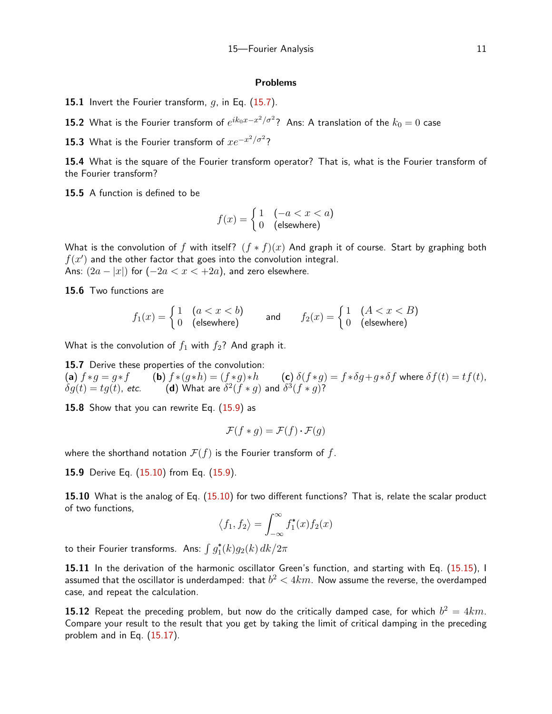#### Problems

**15.1** Invert the Fourier transform,  $g$ , in Eq. [\(15.7](#page-2-0)).

15.2 What is the Fourier transform of  $e^{ik_0x-x^2/\sigma^2}$ ? Ans: A translation of the  $k_0=0$  case

15.3 What is the Fourier transform of  $x e^{-x^2/\sigma^2}$ ?

15.4 What is the square of the Fourier transform operator? That is, what is the Fourier transform of the Fourier transform?

15.5 A function is defined to be

$$
f(x) = \begin{cases} 1 & (-a < x < a) \\ 0 & \text{(elsewhere)} \end{cases}
$$

What is the convolution of f with itself?  $(f * f)(x)$  And graph it of course. Start by graphing both  $f(x')$  and the other factor that goes into the convolution integral. Ans:  $(2a - |x|)$  for  $(-2a < x < +2a)$ , and zero elsewhere.

15.6 Two functions are

$$
f_1(x) = \begin{cases} 1 & (a < x < b) \\ 0 & \text{(elsewhere)} \end{cases} \qquad \text{and} \qquad f_2(x) = \begin{cases} 1 & (A < x < B) \\ 0 & \text{(elsewhere)} \end{cases}
$$

What is the convolution of  $f_1$  with  $f_2$ ? And graph it.

15.7 Derive these properties of the convolution: (a)  $f * g = g * f$  (b)  $f * (g * h) = (f * g) * h$  (c)  $\delta(f * g) = f * \delta g + g * \delta f$  where  $\delta f(t) = tf(t)$ ,  $\delta q(t) = t q(t)$ , etc.  $^{2}(f*g)$  and  $\delta^{3}(f*g)$ ?

15.8 Show that you can rewrite Eq. ([15.9](#page-3-0)) as

$$
\mathcal{F}(f * g) = \mathcal{F}(f) \cdot \mathcal{F}(g)
$$

where the shorthand notation  $\mathcal{F}(f)$  is the Fourier transform of f.

<span id="page-10-0"></span>15.9 Derive Eq. [\(15.1](#page-3-1)0) from Eq. [\(15.9](#page-3-0)).

15.10 What is the analog of Eq. ([15.1](#page-3-1)0) for two different functions? That is, relate the scalar product of two functions,

$$
\langle f_1, f_2 \rangle = \int_{-\infty}^{\infty} f_1^*(x) f_2(x)
$$

to their Fourier transforms. Ans:  $\int g_1^\ast(k)g_2(k)\, dk/2\pi$ 

[15.1](#page-6-0)1 In the derivation of the harmonic oscillator Green's function, and starting with Eq. (15.15), I assumed that the oscillator is underdamped: that  $b^2 < 4km$ . Now assume the reverse, the overdamped case, and repeat the calculation.

<span id="page-10-1"></span> $\bf 15.12$  Repeat the preceding problem, but now do the critically damped case, for which  $b^2=4km.$ Compare your result to the result that you get by taking the limit of critical damping in the preceding problem and in Eq. [\(15.1](#page-7-0)7).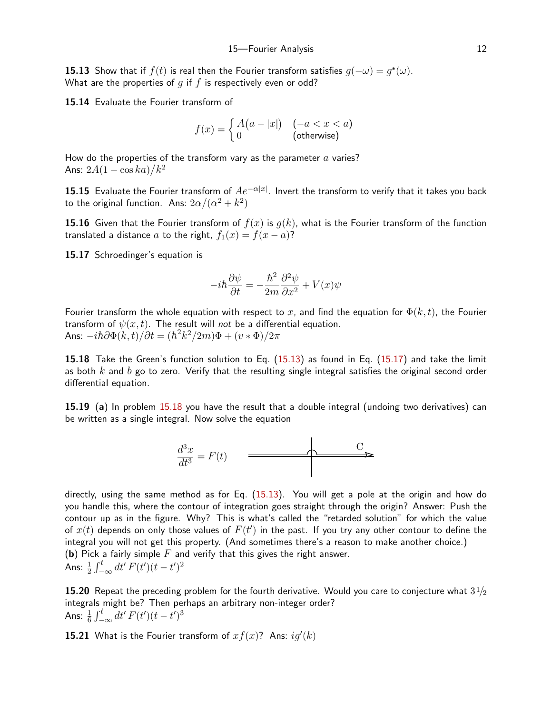**15.13** Show that if  $f(t)$  is real then the Fourier transform satisfies  $q(-\omega) = q^*(\omega)$ . What are the properties of  $q$  if  $f$  is respectively even or odd?

15.14 Evaluate the Fourier transform of

$$
f(x) = \begin{cases} A(a-|x|) & (-a < x < a) \\ 0 & \text{(otherwise)} \end{cases}
$$

How do the properties of the transform vary as the parameter  $a$  varies? Ans:  $2A(1-\cos ka)/k^2$ 

 $\bf 15.15$  Evaluate the Fourier transform of  $Ae^{-\alpha|x|}.$  Invert the transform to verify that it takes you back to the original function. Ans:  $2\alpha/(\alpha^2+k^2)$ 

**15.16** Given that the Fourier transform of  $f(x)$  is  $g(k)$ , what is the Fourier transform of the function translated a distance a to the right,  $f_1(x) = f(x - a)$ ?

15.17 Schroedinger's equation is

$$
-i\hbar\frac{\partial\psi}{\partial t} = -\frac{\hbar^2}{2m}\frac{\partial^2\psi}{\partial x^2} + V(x)\psi
$$

Fourier transform the whole equation with respect to x, and find the equation for  $\Phi(k, t)$ , the Fourier transform of  $\psi(x, t)$ . The result will not be a differential equation. Ans:  $-i\hbar \partial \Phi(k,t)/\partial t = (\hbar^2 k^2/2m)\Phi + (v*\Phi)/2\pi$ 

<span id="page-11-1"></span>15.18 Take the Green's function solution to Eq. [\(15.1](#page-5-1)3) as found in Eq. ([15.1](#page-7-0)7) and take the limit as both  $k$  and  $b$  go to zero. Verify that the resulting single integral satisfies the original second order differential equation.

<span id="page-11-2"></span>15.19 (a) In problem [15.1](#page-11-1)8 you have the result that a double integral (undoing two derivatives) can be written as a single integral. Now solve the equation



directly, using the same method as for Eq. ([15.1](#page-5-1)3). You will get a pole at the origin and how do you handle this, where the contour of integration goes straight through the origin? Answer: Push the contour up as in the figure. Why? This is what's called the "retarded solution" for which the value of  $x(t)$  depends on only those values of  $\overline{F}(t')$  in the past. If you try any other contour to define the integral you will not get this property. (And sometimes there's a reason to make another choice.) (b) Pick a fairly simple  $F$  and verify that this gives the right answer. Ans:  $\frac{1}{2} \int_{-\infty}^{t} dt' F(t') (t - t')^2$ 

**15.20** Repeat the preceding problem for the fourth derivative. Would you care to conjecture what  $3\frac{1}{2}$ integrals might be? Then perhaps an arbitrary non-integer order? Ans:  $\frac{1}{6} \int_{-\infty}^{t} dt' F(t') (t - t')^3$ 

<span id="page-11-0"></span>**15.21** What is the Fourier transform of  $xf(x)$ ? Ans:  $ig'(k)$